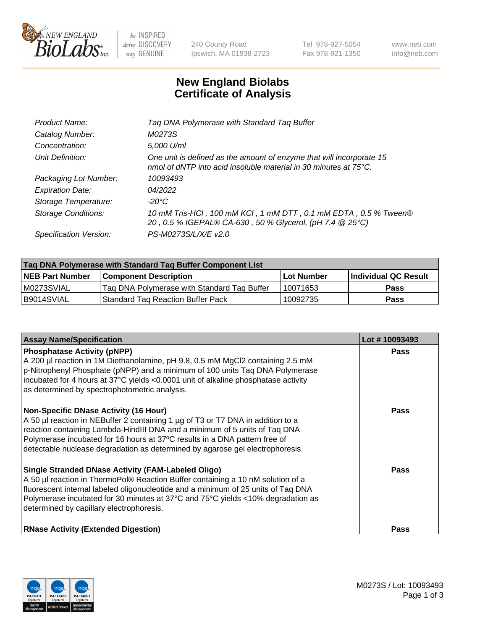

be INSPIRED drive DISCOVERY stay GENUINE

240 County Road Ipswich, MA 01938-2723 Tel 978-927-5054 Fax 978-921-1350 www.neb.com info@neb.com

## **New England Biolabs Certificate of Analysis**

| Tag DNA Polymerase with Standard Tag Buffer                                                                                              |
|------------------------------------------------------------------------------------------------------------------------------------------|
| M0273S                                                                                                                                   |
| 5,000 U/ml                                                                                                                               |
| One unit is defined as the amount of enzyme that will incorporate 15<br>nmol of dNTP into acid insoluble material in 30 minutes at 75°C. |
| 10093493                                                                                                                                 |
| 04/2022                                                                                                                                  |
| $-20^{\circ}$ C                                                                                                                          |
| 10 mM Tris-HCl, 100 mM KCl, 1 mM DTT, 0.1 mM EDTA, 0.5 % Tween®<br>20, 0.5 % IGEPAL® CA-630, 50 % Glycerol, (pH 7.4 @ 25°C)              |
| PS-M0273S/L/X/E v2.0                                                                                                                     |
|                                                                                                                                          |

| Tag DNA Polymerase with Standard Tag Buffer Component List |                                             |                   |                      |  |  |
|------------------------------------------------------------|---------------------------------------------|-------------------|----------------------|--|--|
| <b>NEB Part Number</b>                                     | Component Description_                      | <b>Lot Number</b> | Individual QC Result |  |  |
| M0273SVIAL                                                 | Tag DNA Polymerase with Standard Tag Buffer | 10071653          | Pass                 |  |  |
| B9014SVIAL                                                 | <b>Standard Tag Reaction Buffer Pack</b>    | 10092735          | <b>Pass</b>          |  |  |

| <b>Assay Name/Specification</b>                                                                                                                                                                                                                                                                                                                                              | Lot #10093493 |
|------------------------------------------------------------------------------------------------------------------------------------------------------------------------------------------------------------------------------------------------------------------------------------------------------------------------------------------------------------------------------|---------------|
| <b>Phosphatase Activity (pNPP)</b><br>A 200 µl reaction in 1M Diethanolamine, pH 9.8, 0.5 mM MgCl2 containing 2.5 mM<br>$\vert$ p-Nitrophenyl Phosphate (pNPP) and a minimum of 100 units Taq DNA Polymerase<br>incubated for 4 hours at 37°C yields <0.0001 unit of alkaline phosphatase activity<br>as determined by spectrophotometric analysis.                          | <b>Pass</b>   |
| <b>Non-Specific DNase Activity (16 Hour)</b><br>A 50 µl reaction in NEBuffer 2 containing 1 µg of T3 or T7 DNA in addition to a<br>reaction containing Lambda-HindIII DNA and a minimum of 5 units of Taq DNA<br>Polymerase incubated for 16 hours at 37°C results in a DNA pattern free of<br>detectable nuclease degradation as determined by agarose gel electrophoresis. | Pass          |
| Single Stranded DNase Activity (FAM-Labeled Oligo)<br>A 50 µl reaction in ThermoPol® Reaction Buffer containing a 10 nM solution of a<br>fluorescent internal labeled oligonucleotide and a minimum of 25 units of Taq DNA<br>Polymerase incubated for 30 minutes at 37°C and 75°C yields <10% degradation as<br>determined by capillary electrophoresis.                    | Pass          |
| <b>RNase Activity (Extended Digestion)</b>                                                                                                                                                                                                                                                                                                                                   | <b>Pass</b>   |

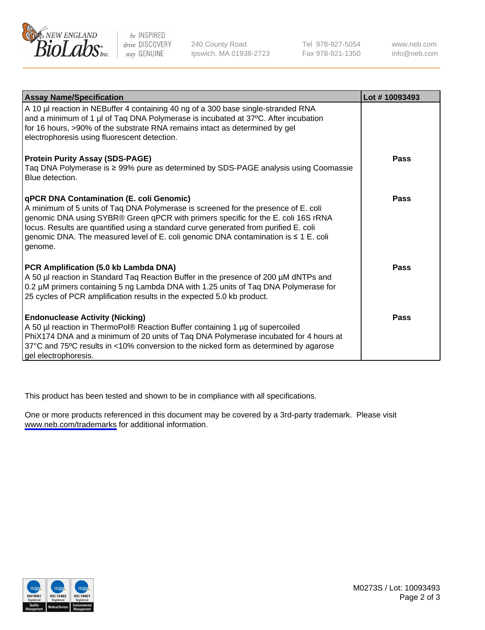

be INSPIRED drive DISCOVERY stay GENUINE

240 County Road Ipswich, MA 01938-2723 Tel 978-927-5054 Fax 978-921-1350

www.neb.com info@neb.com

| <b>Assay Name/Specification</b>                                                                                                                                                                                                                                                                                                                                                                                           | Lot #10093493 |
|---------------------------------------------------------------------------------------------------------------------------------------------------------------------------------------------------------------------------------------------------------------------------------------------------------------------------------------------------------------------------------------------------------------------------|---------------|
| A 10 µl reaction in NEBuffer 4 containing 40 ng of a 300 base single-stranded RNA<br>and a minimum of 1 µl of Taq DNA Polymerase is incubated at 37°C. After incubation<br>for 16 hours, >90% of the substrate RNA remains intact as determined by gel<br>electrophoresis using fluorescent detection.                                                                                                                    |               |
| <b>Protein Purity Assay (SDS-PAGE)</b><br>Taq DNA Polymerase is ≥ 99% pure as determined by SDS-PAGE analysis using Coomassie<br>Blue detection.                                                                                                                                                                                                                                                                          | <b>Pass</b>   |
| <b>qPCR DNA Contamination (E. coli Genomic)</b><br>A minimum of 5 units of Taq DNA Polymerase is screened for the presence of E. coli<br>genomic DNA using SYBR® Green qPCR with primers specific for the E. coli 16S rRNA<br>locus. Results are quantified using a standard curve generated from purified E. coli<br>genomic DNA. The measured level of E. coli genomic DNA contamination is $\leq 1$ E. coli<br>genome. | <b>Pass</b>   |
| <b>PCR Amplification (5.0 kb Lambda DNA)</b><br>A 50 µl reaction in Standard Taq Reaction Buffer in the presence of 200 µM dNTPs and<br>0.2 µM primers containing 5 ng Lambda DNA with 1.25 units of Taq DNA Polymerase for<br>25 cycles of PCR amplification results in the expected 5.0 kb product.                                                                                                                     | Pass          |
| <b>Endonuclease Activity (Nicking)</b><br>A 50 µl reaction in ThermoPol® Reaction Buffer containing 1 µg of supercoiled<br>PhiX174 DNA and a minimum of 20 units of Tag DNA Polymerase incubated for 4 hours at<br>37°C and 75°C results in <10% conversion to the nicked form as determined by agarose<br>gel electrophoresis.                                                                                           | Pass          |

This product has been tested and shown to be in compliance with all specifications.

One or more products referenced in this document may be covered by a 3rd-party trademark. Please visit <www.neb.com/trademarks>for additional information.